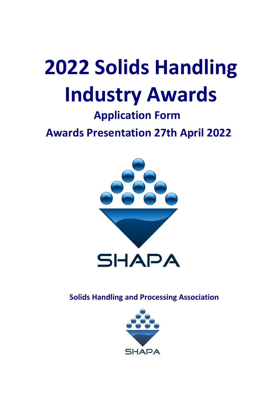# **2022 Solids Handling Industry Awards**

### **Application Form**

**Awards Presentation 27th April 2022**



**Solids Handling and Processing Association** 

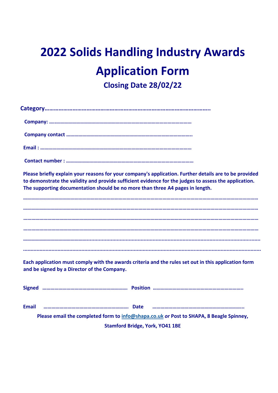## **2022 Solids Handling Industry Awards Application Form Closing Date 28/02/22**

**Category…………………………………………………………………………………………….. Company: …..………………………………………………………………………………………… Company contact ………………………………………………………………………………….. Email : …………………………………………………………………………………………………… Contact number : …………………………………………………………………………………… Please briefly explain your reasons for your company's application. Further details are to be provided to demonstrate the validity and provide sufficient evidence for the judges to assess the application. The supporting documentation should be no more than three A4 pages in length. …………………………………………………………………………………………………………………………………………………………… …………………………………………………………………………………………………………………………………………………………… …………………………………………………………………………………………………………………………………………………………… ………………………………………….................................................................................................................... ...............................................................................................................................................................** 

**Each application must comply with the awards criteria and the rules set out in this application form and be signed by a Director of the Company.** 

| <b>Email</b>                  |                                                                                         |  |  |
|-------------------------------|-----------------------------------------------------------------------------------------|--|--|
|                               | Please email the completed form to info@shapa.co.uk or Post to SHAPA, 8 Beagle Spinney, |  |  |
| Stamford Bridge Vork VO41 1RE |                                                                                         |  |  |

**Stamford Bridge, York, YO41 1BE**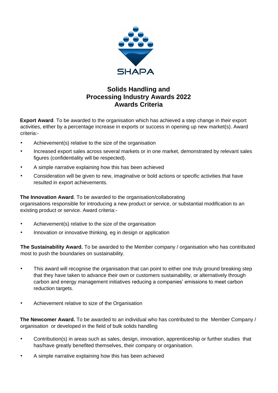

#### **Solids Handling and Processing Industry Awards 2022 Awards Criteria**

**Export Award**. To be awarded to the organisation which has achieved a step change in their export activities, either by a percentage increase in exports or success in opening up new market(s). Award criteria:-

- Achievement(s) relative to the size of the organisation
- Increased export sales across several markets or in one market, demonstrated by relevant sales figures (confidentiality will be respected).
- A simple narrative explaining how this has been achieved
- Consideration will be given to new, imaginative or bold actions or specific activities that have resulted in export achievements.

**The Innovation Award**. To be awarded to the organisation/collaborating organisations responsible for introducing a new product or service, or substantial modification to an existing product or service. Award criteria:-

- Achievement(s) relative to the size of the organisation
- Innovation or innovative thinking, eg in design or application

**The Sustainability Award.** To be awarded to the Member company / organisation who has contributed most to push the boundaries on sustainability.

- This award will recognise the organisation that can point to either one truly ground breaking step that they have taken to advance their own or customers sustainability, or alternatively through carbon and energy management initiatives reducing a companies' emissions to meet carbon reduction targets.
- Achievement relative to size of the Organisation

**The Newcomer Award.** To be awarded to an individual who has contributed to the Member Company / organisation or developed in the field of bulk solids handling

- Contribution(s) in areas such as sales, design, innovation, apprenticeship or further studies that has/have greatly benefited themselves, their company or organisation.
- A simple narrative explaining how this has been achieved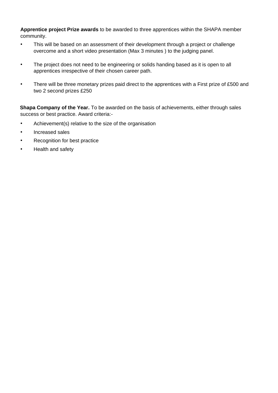**Apprentice project Prize awards** to be awarded to three apprentices within the SHAPA member community.

- This will be based on an assessment of their development through a project or challenge overcome and a short video presentation (Max 3 minutes ) to the judging panel.
- The project does not need to be engineering or solids handing based as it is open to all apprentices irrespective of their chosen career path.
- There will be three monetary prizes paid direct to the apprentices with a First prize of £500 and two 2 second prizes £250

**Shapa Company of the Year.** To be awarded on the basis of achievements, either through sales success or best practice. Award criteria:-

- Achievement(s) relative to the size of the organisation
- Increased sales
- Recognition for best practice
- Health and safety